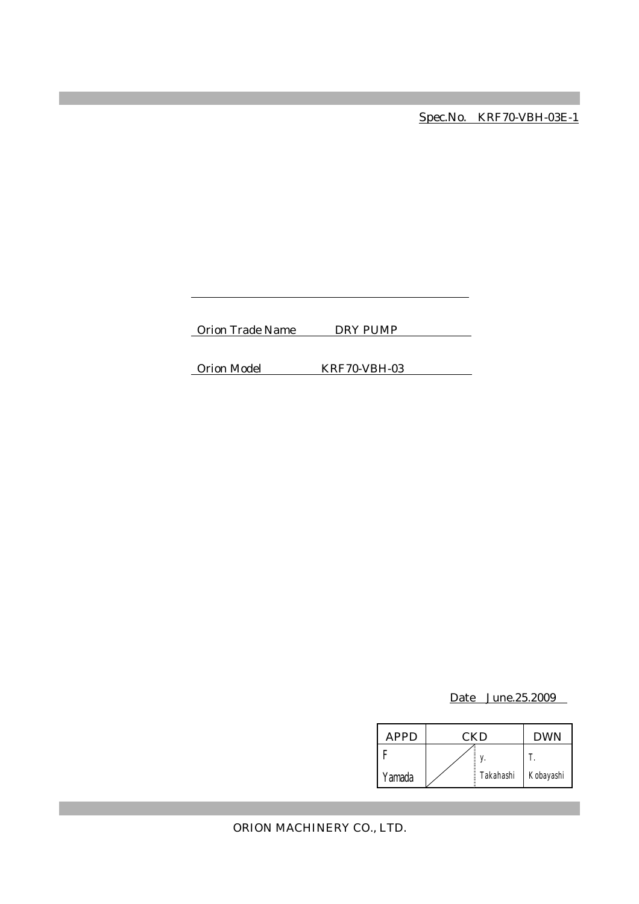Spec.No. KRF70-VBH-03E-1

Orion Trade Name DRY PUMP

Orion Model KRF70-VBH-03

Date June.25.2009

| <b>APPD</b> | <b>CKD</b> |           | <b>DWN</b> |
|-------------|------------|-----------|------------|
|             |            |           |            |
| Yamada      |            | Takahashi | Kobayashi  |

ORION MACHINERY CO., LTD.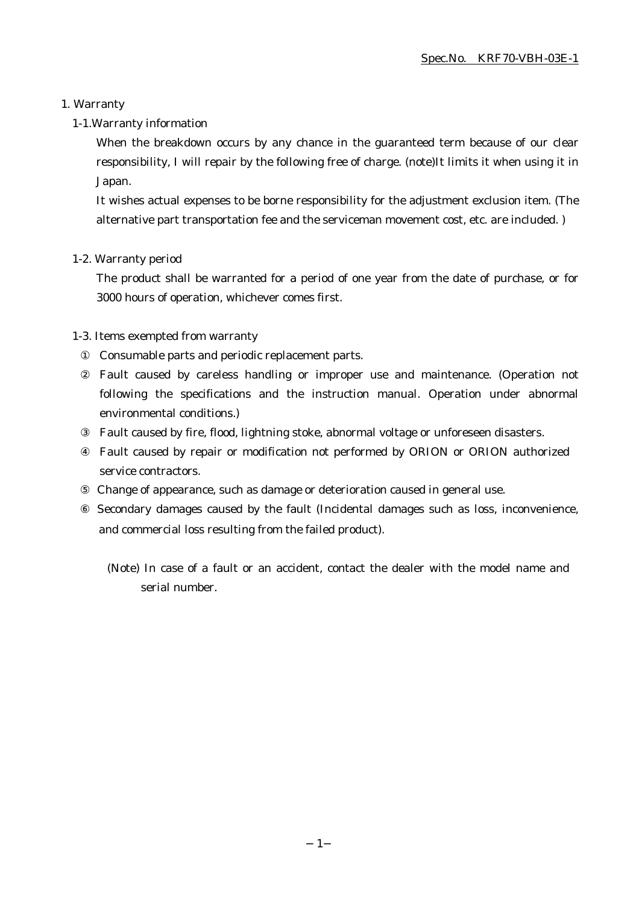## 1. Warranty

## 1-1.Warranty information

When the breakdown occurs by any chance in the guaranteed term because of our clear responsibility, I will repair by the following free of charge. (note)It limits it when using it in Japan.

It wishes actual expenses to be borne responsibility for the adjustment exclusion item. (The alternative part transportation fee and the serviceman movement cost, etc. are included. )

## 1-2. Warranty period

The product shall be warranted for a period of one year from the date of purchase, or for 3000 hours of operation, whichever comes first.

## 1-3. Items exempted from warranty

Consumable parts and periodic replacement parts.

Fault caused by careless handling or improper use and maintenance. (Operation not following the specifications and the instruction manual. Operation under abnormal environmental conditions.)

Fault caused by fire, flood, lightning stoke, abnormal voltage or unforeseen disasters.

Fault caused by repair or modification not performed by ORION or ORION authorized service contractors.

Change of appearance, such as damage or deterioration caused in general use.

 Secondary damages caused by the fault (Incidental damages such as loss, inconvenience, and commercial loss resulting from the failed product).

(Note) In case of a fault or an accident, contact the dealer with the model name and serial number.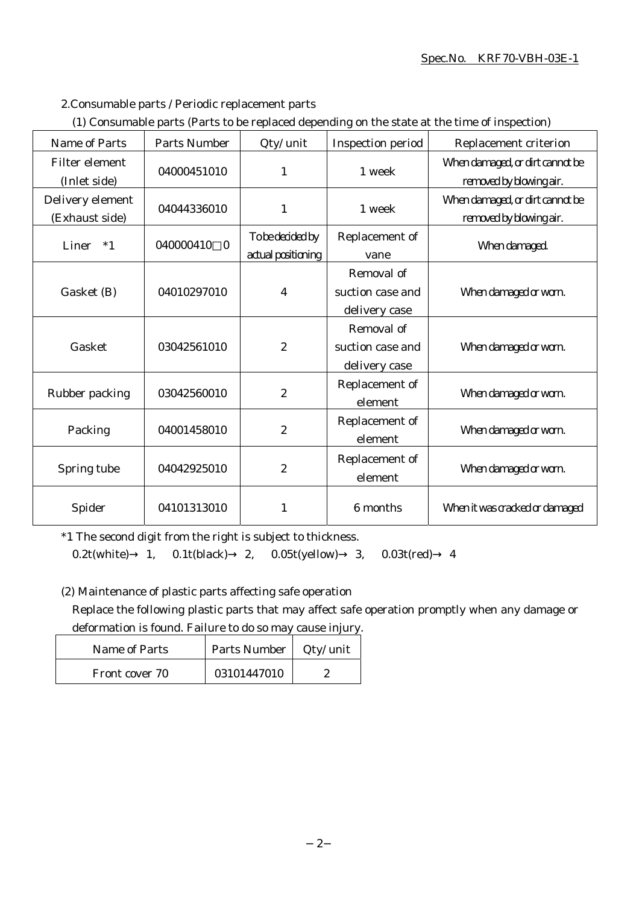#### Spec.No. KRF70-VBH-03E-1

- 2.Consumable parts / Periodic replacement parts
- (1) Consumable parts (Parts to be replaced depending on the state at the time of inspection)

| <b>Name of Parts</b>               | <b>Parts Number</b>   | Qty/ unit                              | Inspection period                               | Replacement criterion                                      |
|------------------------------------|-----------------------|----------------------------------------|-------------------------------------------------|------------------------------------------------------------|
| Filter element<br>(Inlet side)     | 04000451010           | 1                                      | 1 week                                          | When damaged, or dirt cannot be<br>removed by blowing air. |
| Delivery element<br>(Exhaust side) | 04044336010           | $\mathbf{1}$                           | 1 week                                          | When damaged, or dirt cannot be<br>removed by blowing air. |
| $*1$<br>Liner                      | 040000410<br>$\theta$ | To be decided by<br>actual positioning | Replacement of<br>vane                          | When damaged.                                              |
| Gasket (B)                         | 04010297010           | $\overline{4}$                         | Removal of<br>suction case and<br>delivery case | When damaged or worn.                                      |
| Gasket                             | 03042561010           | $\boldsymbol{2}$                       | Removal of<br>suction case and<br>delivery case | When damaged or worn.                                      |
| Rubber packing                     | 03042560010           | $\boldsymbol{2}$                       | Replacement of<br>element                       | When damaged or worn.                                      |
| Packing                            | 04001458010           | $\boldsymbol{2}$                       | Replacement of<br>element                       | When damaged or worn.                                      |
| Spring tube                        | 04042925010           | $\boldsymbol{2}$                       | Replacement of<br>element                       | When damaged or worn.                                      |
| Spider                             | 04101313010           | $\mathbf{1}$                           | 6 months                                        | When it was cracked or damaged                             |

\*1 The second digit from the right is subject to thickness.

0.2t(white) 1, 0.1t(black) 2, 0.05t(yellow) 3, 0.03t(red) 4

(2) Maintenance of plastic parts affecting safe operation

Replace the following plastic parts that may affect safe operation promptly when any damage or deformation is found. Failure to do so may cause injury.

| Name of Parts  | Parts Number | Qty/ unit |
|----------------|--------------|-----------|
| Front cover 70 | 03101447010  |           |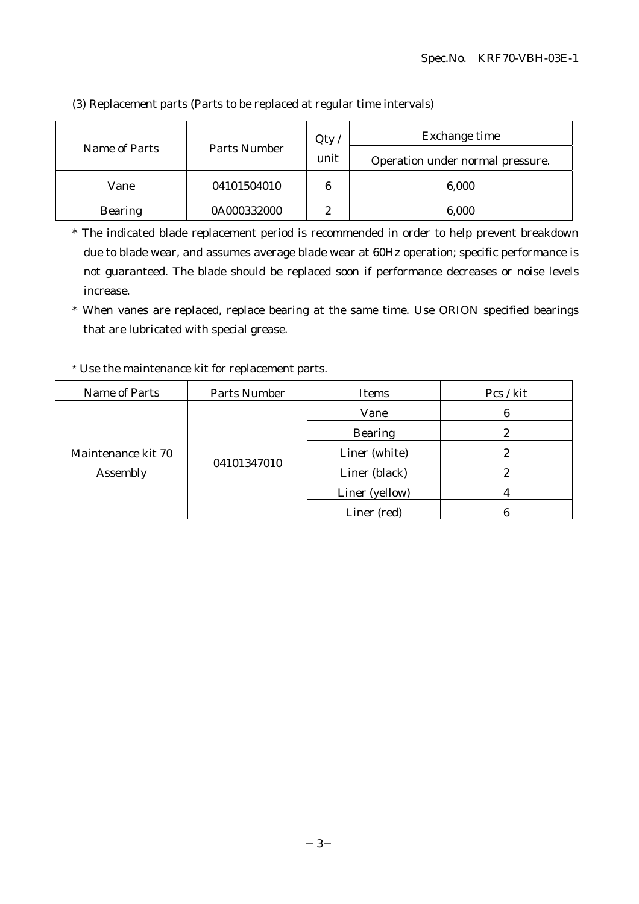| Name of Parts  | Parts Number | Qty<br>unit    | Exchange time<br>Operation under normal pressure. |
|----------------|--------------|----------------|---------------------------------------------------|
| Vane           | 04101504010  | 6              | 6,000                                             |
| <b>Bearing</b> | 0A000332000  | $\overline{c}$ | 6,000                                             |

(3) Replacement parts (Parts to be replaced at regular time intervals)

\* The indicated blade replacement period is recommended in order to help prevent breakdown due to blade wear, and assumes average blade wear at 60Hz operation; specific performance is not guaranteed. The blade should be replaced soon if performance decreases or noise levels increase.

\* When vanes are replaced, replace bearing at the same time. Use ORION specified bearings that are lubricated with special grease.

# \* Use the maintenance kit for replacement parts.

| Name of Parts                  | <b>Parts Number</b> | Items          | Pcs / kit |
|--------------------------------|---------------------|----------------|-----------|
| Maintenance kit 70<br>Assembly | 04101347010         | Vane           | 6         |
|                                |                     | <b>Bearing</b> |           |
|                                |                     | Liner (white)  |           |
|                                |                     | Liner (black)  | 2         |
|                                |                     | Liner (yellow) |           |
|                                |                     | Liner (red)    |           |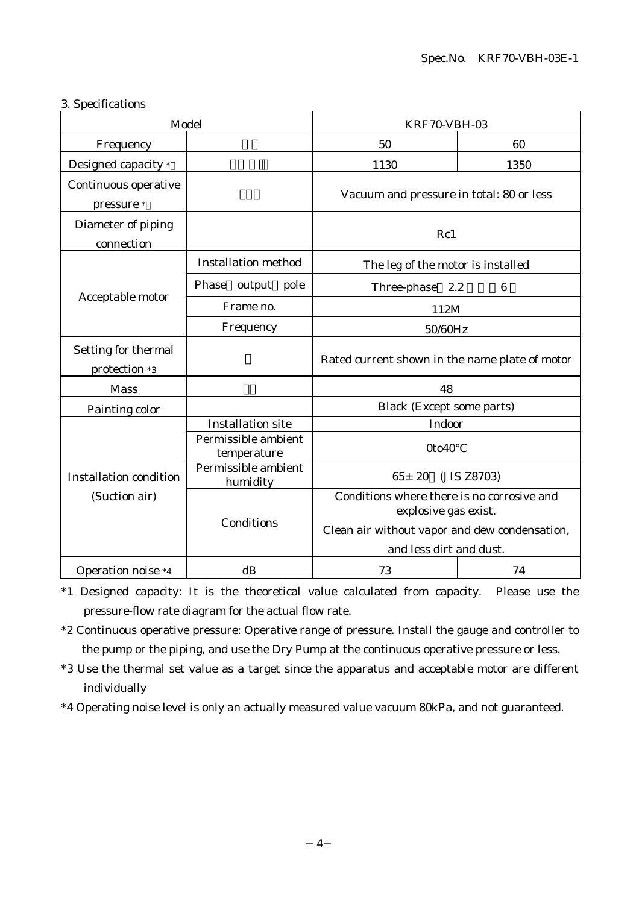# 3. Specifications

| Model                                |                                    | <b>KRF70-VBH-03</b>                                                                                                 |                            |  |
|--------------------------------------|------------------------------------|---------------------------------------------------------------------------------------------------------------------|----------------------------|--|
| Frequency                            |                                    | 50                                                                                                                  | 60                         |  |
| Designed capacity *                  |                                    | 1130                                                                                                                | 1350                       |  |
| Continuous operative<br>pressure *   |                                    | Vacuum and pressure in total: 80 or less                                                                            |                            |  |
| Diameter of piping<br>connection     |                                    | Rc1                                                                                                                 |                            |  |
|                                      | <b>Installation method</b>         | The leg of the motor is installed                                                                                   |                            |  |
|                                      | Phase output pole                  | Three-phase 2.2                                                                                                     | $\boldsymbol{6}$           |  |
| Acceptable motor                     | Frame no.                          | 112M                                                                                                                |                            |  |
|                                      | Frequency                          | 50/60Hz                                                                                                             |                            |  |
| Setting for thermal<br>protection *3 |                                    | Rated current shown in the name plate of motor                                                                      |                            |  |
| <b>Mass</b>                          |                                    | 48                                                                                                                  |                            |  |
| Painting color                       |                                    | <b>Black (Except some parts)</b>                                                                                    |                            |  |
|                                      | <b>Installation site</b>           | Indoor                                                                                                              |                            |  |
|                                      | Permissible ambient<br>temperature | 0to40                                                                                                               |                            |  |
| <b>Installation condition</b>        | Permissible ambient<br>humidity    |                                                                                                                     | $65 \pm 20$<br>(JIS Z8703) |  |
| (Suction air)                        | Conditions                         | Conditions where there is no corrosive and<br>explosive gas exist.<br>Clean air without vapor and dew condensation, |                            |  |
|                                      |                                    | and less dirt and dust.                                                                                             |                            |  |
| <b>Operation noise *4</b>            | dB                                 | 73                                                                                                                  | 74                         |  |

\*1 Designed capacity: It is the theoretical value calculated from capacity. Please use the pressure-flow rate diagram for the actual flow rate.

- \*2 Continuous operative pressure: Operative range of pressure. Install the gauge and controller to the pump or the piping, and use the Dry Pump at the continuous operative pressure or less.
- \*3 Use the thermal set value as a target since the apparatus and acceptable motor are different individually
- \*4 Operating noise level is only an actually measured value vacuum 80kPa, and not guaranteed.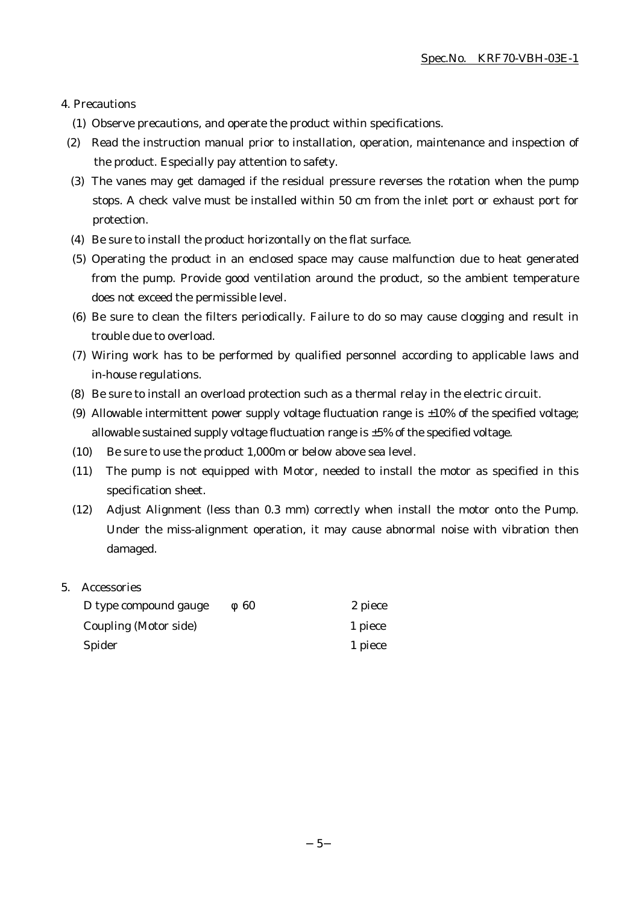#### 4. Precautions

- (1) Observe precautions, and operate the product within specifications.
- (2) Read the instruction manual prior to installation, operation, maintenance and inspection of the product. Especially pay attention to safety.
- (3) The vanes may get damaged if the residual pressure reverses the rotation when the pump stops. A check valve must be installed within 50 cm from the inlet port or exhaust port for protection.
- (4) Be sure to install the product horizontally on the flat surface.
- (5) Operating the product in an enclosed space may cause malfunction due to heat generated from the pump. Provide good ventilation around the product, so the ambient temperature does not exceed the permissible level.
- (6) Be sure to clean the filters periodically. Failure to do so may cause clogging and result in trouble due to overload.
- (7) Wiring work has to be performed by qualified personnel according to applicable laws and in-house regulations.
- (8) Be sure to install an overload protection such as a thermal relay in the electric circuit.
- (9) Allowable intermittent power supply voltage fluctuation range is  $\pm 10\%$  of the specified voltage; allowable sustained supply voltage fluctuation range is  $\pm 5\%$  of the specified voltage.
- (10) Be sure to use the product 1,000m or below above sea level.
- (11) The pump is not equipped with Motor, needed to install the motor as specified in this specification sheet.
- (12) Adjust Alignment (less than 0.3 mm) correctly when install the motor onto the Pump. Under the miss-alignment operation, it may cause abnormal noise with vibration then damaged.

#### 5. Accessories

| D type compound gauge | 60 | 2 piece |
|-----------------------|----|---------|
| Coupling (Motor side) |    | 1 piece |
| Spider                |    | 1 piece |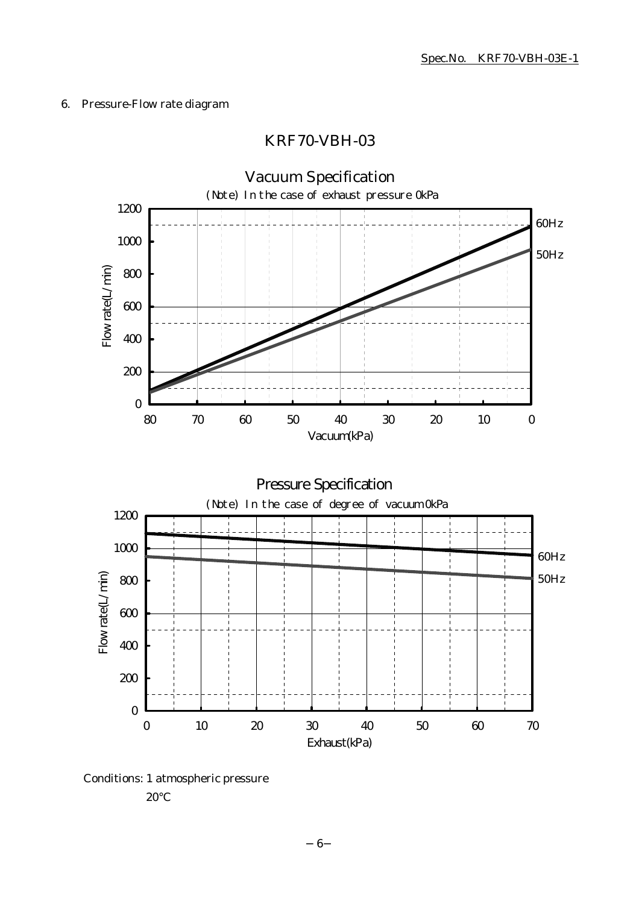# 6. Pressure-Flow rate diagram

# KRF70-VBH-03



Conditions: 1 atmospheric pressure

20